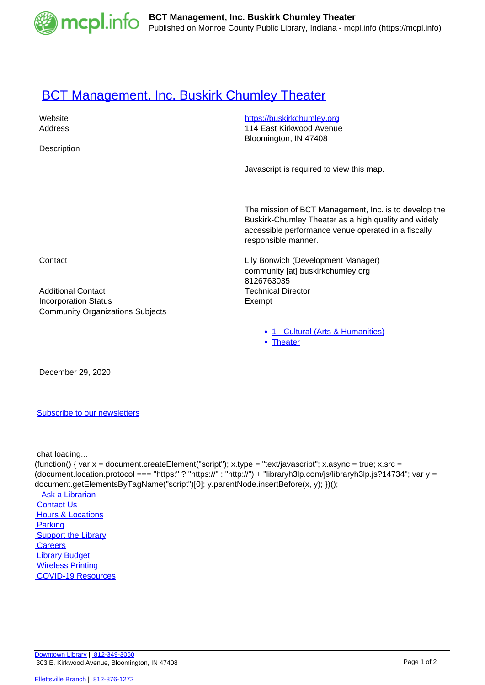

## **[BCT Management, Inc. Buskirk Chumley Theater](https://mcpl.info/commorg/bct-management-inc-buskirk-chumley-theater)**

| Website<br>Address                                                     | https://buskirkchumley.org<br>114 East Kirkwood Avenue                                                                                                                                      |
|------------------------------------------------------------------------|---------------------------------------------------------------------------------------------------------------------------------------------------------------------------------------------|
|                                                                        | Bloomington, IN 47408                                                                                                                                                                       |
| Description                                                            |                                                                                                                                                                                             |
|                                                                        | Javascript is required to view this map.                                                                                                                                                    |
|                                                                        | The mission of BCT Management, Inc. is to develop the<br>Buskirk-Chumley Theater as a high quality and widely<br>accessible performance venue operated in a fiscally<br>responsible manner. |
| Contact                                                                | Lily Bonwich (Development Manager)<br>community [at] buskirkchumley.org                                                                                                                     |
|                                                                        | 8126763035                                                                                                                                                                                  |
| <b>Additional Contact</b>                                              | <b>Technical Director</b>                                                                                                                                                                   |
| <b>Incorporation Status</b><br><b>Community Organizations Subjects</b> | Exempt                                                                                                                                                                                      |
|                                                                        | • 1 - Cultural (Arts & Humanities)                                                                                                                                                          |
|                                                                        | • Theater                                                                                                                                                                                   |

December 29, 2020

## [Subscribe to our newsletters](https://mcpl.info/geninfo/subscribe-think-library-newsletter)

chat loading...

(function() { var  $x =$  document.createElement("script");  $x.$ type = "text/javascript";  $x.$ async = true;  $x.$ src = (document.location.protocol === "https:" ? "https://" : "http://") + "libraryh3lp.com/js/libraryh3lp.js?14734"; var y = document.getElementsByTagName("script")[0]; y.parentNode.insertBefore(x, y); })(); Ask a Librarian  [Contact Us](https://mcpl.info/geninfo/contact-us) **Hours & Locations**  [Parking](https://mcpl.info/parking?utm_source=footer&utm_medium=links&utm_campaign=parking) **Support the Library Careers**  [Library Budget](https://budgetnotices.in.gov/unit_lookup.aspx?ct=53000)  [Wireless Printing](https://tbs.eprintit.com/portal/#/ppl/upload/monroecpl)  [COVID-19 Resources](https://mcpl.info/geninfo/local-covid-resources)